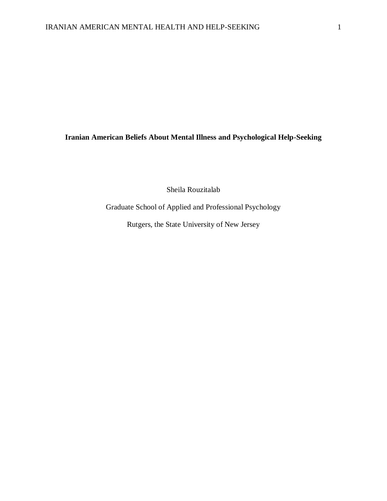## **Iranian American Beliefs About Mental Illness and Psychological Help-Seeking**

Sheila Rouzitalab

Graduate School of Applied and Professional Psychology

Rutgers, the State University of New Jersey